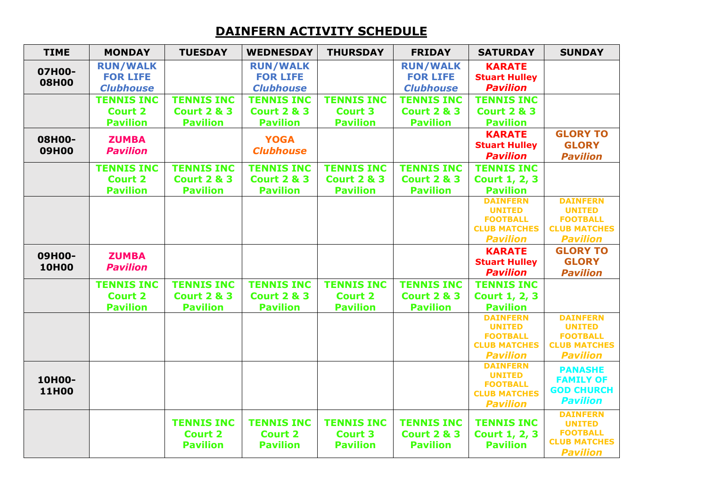## **DAINFERN ACTIVITY SCHEDULE**

| <b>TIME</b>            | <b>MONDAY</b>     | <b>TUESDAY</b>         | <b>WEDNESDAY</b>       | <b>THURSDAY</b>        | <b>FRIDAY</b>          | <b>SATURDAY</b>                        | <b>SUNDAY</b>                          |
|------------------------|-------------------|------------------------|------------------------|------------------------|------------------------|----------------------------------------|----------------------------------------|
| 07H00-<br><b>08H00</b> | <b>RUN/WALK</b>   |                        | <b>RUN/WALK</b>        |                        | <b>RUN/WALK</b>        | <b>KARATE</b>                          |                                        |
|                        | <b>FOR LIFE</b>   |                        | <b>FOR LIFE</b>        |                        | <b>FOR LIFE</b>        | <b>Stuart Hulley</b>                   |                                        |
|                        | <b>Clubhouse</b>  |                        | <b>Clubhouse</b>       |                        | <b>Clubhouse</b>       | <b>Pavilion</b>                        |                                        |
|                        | <b>TENNIS INC</b> | <b>TENNIS INC</b>      | <b>TENNIS INC</b>      | <b>TENNIS INC</b>      | <b>TENNIS INC</b>      | <b>TENNIS INC</b>                      |                                        |
|                        | <b>Court 2</b>    | <b>Court 2 &amp; 3</b> | <b>Court 2 &amp; 3</b> | <b>Court 3</b>         | <b>Court 2 &amp; 3</b> | <b>Court 2 &amp; 3</b>                 |                                        |
|                        | <b>Pavilion</b>   | <b>Pavilion</b>        | <b>Pavilion</b>        | <b>Pavilion</b>        | <b>Pavilion</b>        | <b>Pavilion</b>                        |                                        |
| 08H00-                 | <b>ZUMBA</b>      |                        | <b>YOGA</b>            |                        |                        | <b>KARATE</b>                          | <b>GLORY TO</b>                        |
| <b>09H00</b>           | <b>Pavilion</b>   |                        | <b>Clubhouse</b>       |                        |                        | <b>Stuart Hulley</b>                   | <b>GLORY</b>                           |
|                        |                   |                        |                        |                        |                        | <b>Pavilion</b>                        | <b>Pavilion</b>                        |
|                        | <b>TENNIS INC</b> | <b>TENNIS INC</b>      | <b>TENNIS INC</b>      | <b>TENNIS INC</b>      | <b>TENNIS INC</b>      | <b>TENNIS INC</b>                      |                                        |
|                        | <b>Court 2</b>    | <b>Court 2 &amp; 3</b> | <b>Court 2 &amp; 3</b> | <b>Court 2 &amp; 3</b> | <b>Court 2 &amp; 3</b> | Court 1, 2, 3                          |                                        |
|                        | <b>Pavilion</b>   | <b>Pavilion</b>        | <b>Pavilion</b>        | <b>Pavilion</b>        | <b>Pavilion</b>        | <b>Pavilion</b>                        |                                        |
|                        |                   |                        |                        |                        |                        | <b>DAINFERN</b>                        | <b>DAINFERN</b>                        |
|                        |                   |                        |                        |                        |                        | <b>UNITED</b><br><b>FOOTBALL</b>       | <b>UNITED</b><br><b>FOOTBALL</b>       |
|                        |                   |                        |                        |                        |                        | <b>CLUB MATCHES</b>                    | <b>CLUB MATCHES</b>                    |
|                        |                   |                        |                        |                        |                        | <b>Pavilion</b>                        | <b>Pavilion</b>                        |
|                        |                   |                        |                        |                        |                        | <b>KARATE</b>                          | <b>GLORY TO</b>                        |
| 09H00-                 | <b>ZUMBA</b>      |                        |                        |                        |                        | <b>Stuart Hulley</b>                   | <b>GLORY</b>                           |
| <b>10H00</b>           | <b>Pavilion</b>   |                        |                        |                        |                        | <b>Pavilion</b>                        | <b>Pavilion</b>                        |
|                        | <b>TENNIS INC</b> | <b>TENNIS INC</b>      | <b>TENNIS INC</b>      | <b>TENNIS INC</b>      | <b>TENNIS INC</b>      | <b>TENNIS INC</b>                      |                                        |
|                        | <b>Court 2</b>    | <b>Court 2 &amp; 3</b> | <b>Court 2 &amp; 3</b> | <b>Court 2</b>         | <b>Court 2 &amp; 3</b> | <b>Court 1, 2, 3</b>                   |                                        |
|                        | <b>Pavilion</b>   | <b>Pavilion</b>        | <b>Pavilion</b>        | <b>Pavilion</b>        | <b>Pavilion</b>        | <b>Pavilion</b>                        |                                        |
|                        |                   |                        |                        |                        |                        | <b>DAINFERN</b>                        | <b>DAINFERN</b>                        |
|                        |                   |                        |                        |                        |                        | <b>UNITED</b>                          | <b>UNITED</b>                          |
|                        |                   |                        |                        |                        |                        | <b>FOOTBALL</b><br><b>CLUB MATCHES</b> | <b>FOOTBALL</b><br><b>CLUB MATCHES</b> |
|                        |                   |                        |                        |                        |                        | <b>Pavilion</b>                        | <b>Pavilion</b>                        |
|                        |                   |                        |                        |                        |                        | <b>DAINFERN</b>                        |                                        |
| 10H00-                 |                   |                        |                        |                        |                        | <b>UNITED</b>                          | <b>PANASHE</b><br><b>FAMILY OF</b>     |
| <b>11H00</b>           |                   |                        |                        |                        |                        | <b>FOOTBALL</b>                        | <b>GOD CHURCH</b>                      |
|                        |                   |                        |                        |                        |                        | <b>CLUB MATCHES</b>                    | <b>Pavilion</b>                        |
|                        |                   |                        |                        |                        |                        | <b>Pavilion</b>                        |                                        |
|                        |                   | <b>TENNIS INC</b>      | <b>TENNIS INC</b>      | <b>TENNIS INC</b>      | <b>TENNIS INC</b>      | <b>TENNIS INC</b>                      | <b>DAINFERN</b><br><b>UNITED</b>       |
|                        |                   | <b>Court 2</b>         | <b>Court 2</b>         | <b>Court 3</b>         | <b>Court 2 &amp; 3</b> | <b>Court 1, 2, 3</b>                   | <b>FOOTBALL</b>                        |
|                        |                   | <b>Pavilion</b>        | <b>Pavilion</b>        | <b>Pavilion</b>        | <b>Pavilion</b>        | <b>Pavilion</b>                        | <b>CLUB MATCHES</b>                    |
|                        |                   |                        |                        |                        |                        |                                        | <b>Pavilion</b>                        |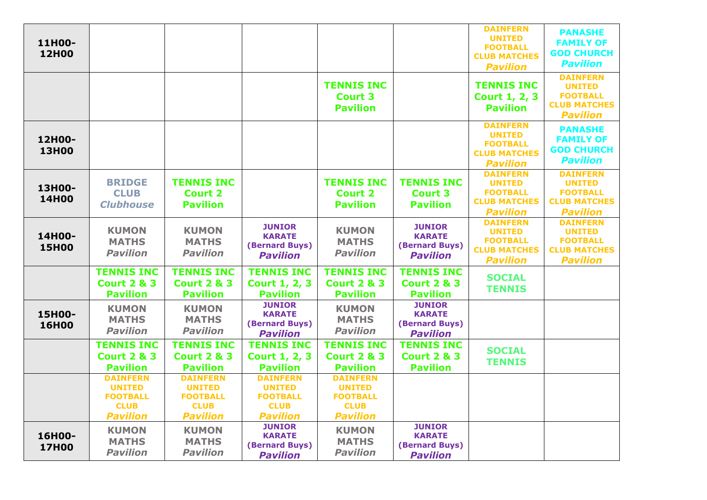| 11H00-<br><b>12H00</b> |                                                                                       |                                                                                       |                                                                                       |                                                                                       |                                                                     | <b>DAINFERN</b><br><b>UNITED</b><br><b>FOOTBALL</b><br><b>CLUB MATCHES</b><br><b>Pavilion</b> | <b>PANASHE</b><br><b>FAMILY OF</b><br><b>GOD CHURCH</b><br><b>Pavilion</b>                    |
|------------------------|---------------------------------------------------------------------------------------|---------------------------------------------------------------------------------------|---------------------------------------------------------------------------------------|---------------------------------------------------------------------------------------|---------------------------------------------------------------------|-----------------------------------------------------------------------------------------------|-----------------------------------------------------------------------------------------------|
|                        |                                                                                       |                                                                                       |                                                                                       | <b>TENNIS INC</b><br><b>Court 3</b><br><b>Pavilion</b>                                |                                                                     | <b>TENNIS INC</b><br><b>Court 1, 2, 3</b><br><b>Pavilion</b>                                  | <b>DAINFERN</b><br><b>UNITED</b><br><b>FOOTBALL</b><br><b>CLUB MATCHES</b><br><b>Pavilion</b> |
| 12H00-<br><b>13H00</b> |                                                                                       |                                                                                       |                                                                                       |                                                                                       |                                                                     | <b>DAINFERN</b><br><b>UNITED</b><br><b>FOOTBALL</b><br><b>CLUB MATCHES</b><br><b>Pavilion</b> | <b>PANASHE</b><br><b>FAMILY OF</b><br><b>GOD CHURCH</b><br><b>Pavilion</b>                    |
| 13H00-<br><b>14H00</b> | <b>BRIDGE</b><br><b>CLUB</b><br><b>Clubhouse</b>                                      | <b>TENNIS INC</b><br><b>Court 2</b><br><b>Pavilion</b>                                |                                                                                       | <b>TENNIS INC</b><br><b>Court 2</b><br><b>Pavilion</b>                                | <b>TENNIS INC</b><br><b>Court 3</b><br><b>Pavilion</b>              | <b>DAINFERN</b><br><b>UNITED</b><br><b>FOOTBALL</b><br><b>CLUB MATCHES</b><br><b>Pavilion</b> | <b>DAINFERN</b><br><b>UNITED</b><br><b>FOOTBALL</b><br><b>CLUB MATCHES</b><br><b>Pavilion</b> |
| 14H00-<br><b>15H00</b> | <b>KUMON</b><br><b>MATHS</b><br><b>Pavilion</b>                                       | <b>KUMON</b><br><b>MATHS</b><br><b>Pavilion</b>                                       | <b>JUNIOR</b><br><b>KARATE</b><br>(Bernard Buys)<br><b>Pavilion</b>                   | <b>KUMON</b><br><b>MATHS</b><br><b>Pavilion</b>                                       | <b>JUNIOR</b><br><b>KARATE</b><br>(Bernard Buys)<br><b>Pavilion</b> | <b>DAINFERN</b><br><b>UNITED</b><br><b>FOOTBALL</b><br><b>CLUB MATCHES</b><br><b>Pavilion</b> | <b>DAINFERN</b><br><b>UNITED</b><br><b>FOOTBALL</b><br><b>CLUB MATCHES</b><br><b>Pavilion</b> |
|                        | <b>TENNIS INC</b><br><b>Court 2 &amp; 3</b><br><b>Pavilion</b>                        | <b>TENNIS INC</b><br><b>Court 2 &amp; 3</b><br><b>Pavilion</b>                        | <b>TENNIS INC</b><br><b>Court 1, 2, 3</b><br><b>Pavilion</b>                          | <b>TENNIS INC</b><br><b>Court 2 &amp; 3</b><br><b>Pavilion</b>                        | <b>TENNIS INC</b><br><b>Court 2 &amp; 3</b><br><b>Pavilion</b>      | <b>SOCIAL</b><br><b>TENNIS</b>                                                                |                                                                                               |
| 15H00-<br><b>16H00</b> | <b>KUMON</b><br><b>MATHS</b><br><b>Pavilion</b>                                       | <b>KUMON</b><br><b>MATHS</b><br><b>Pavilion</b>                                       | <b>JUNIOR</b><br><b>KARATE</b><br>(Bernard Buys)<br><b>Pavilion</b>                   | <b>KUMON</b><br><b>MATHS</b><br><b>Pavilion</b>                                       | <b>JUNIOR</b><br><b>KARATE</b><br>(Bernard Buys)<br><b>Pavilion</b> |                                                                                               |                                                                                               |
|                        | <b>TENNIS INC</b><br><b>Court 2 &amp; 3</b><br><b>Pavilion</b>                        | <b>TENNIS INC</b><br><b>Court 2 &amp; 3</b><br><b>Pavilion</b>                        | <b>TENNIS INC</b><br><b>Court 1, 2, 3</b><br><b>Pavilion</b>                          | <b>TENNIS INC</b><br><b>Court 2 &amp; 3</b><br><b>Pavilion</b>                        | <b>TENNIS INC</b><br><b>Court 2 &amp; 3</b><br><b>Pavilion</b>      | <b>SOCIAL</b><br><b>TENNIS</b>                                                                |                                                                                               |
|                        | <b>DAINFERN</b><br><b>UNITED</b><br><b>FOOTBALL</b><br><b>CLUB</b><br><b>Pavilion</b> | <b>DAINFERN</b><br><b>UNITED</b><br><b>FOOTBALL</b><br><b>CLUB</b><br><b>Pavilion</b> | <b>DAINFERN</b><br><b>UNITED</b><br><b>FOOTBALL</b><br><b>CLUB</b><br><b>Pavilion</b> | <b>DAINFERN</b><br><b>UNITED</b><br><b>FOOTBALL</b><br><b>CLUB</b><br><b>Pavilion</b> |                                                                     |                                                                                               |                                                                                               |
| 16H00-<br><b>17H00</b> | <b>KUMON</b><br><b>MATHS</b><br><b>Pavilion</b>                                       | <b>KUMON</b><br><b>MATHS</b><br><b>Pavilion</b>                                       | <b>JUNIOR</b><br><b>KARATE</b><br>(Bernard Buys)<br><b>Pavilion</b>                   | <b>KUMON</b><br><b>MATHS</b><br><b>Pavilion</b>                                       | <b>JUNIOR</b><br><b>KARATE</b><br>(Bernard Buys)<br><b>Pavilion</b> |                                                                                               |                                                                                               |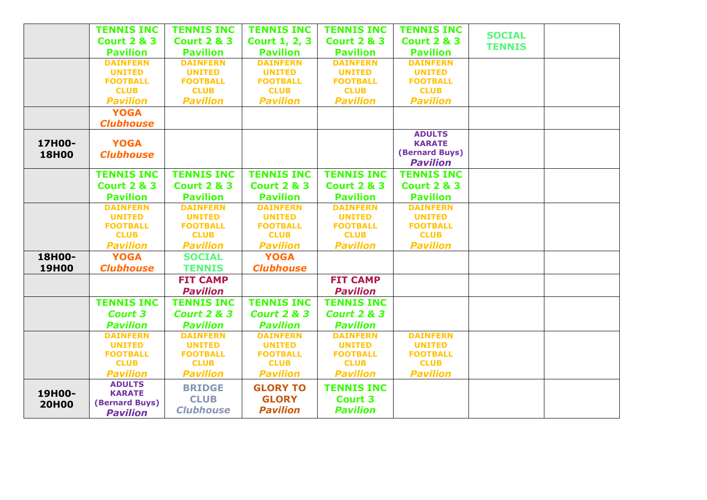|              | <b>TENNIS INC</b><br><b>Court 2 &amp; 3</b> | <b>TENNIS INC</b><br><b>Court 2 &amp; 3</b> | <b>TENNIS INC</b><br><b>Court 1, 2, 3</b> | <b>TENNIS INC</b><br><b>Court 2 &amp; 3</b> | <b>TENNIS INC</b><br><b>Court 2 &amp; 3</b> | <b>SOCIAL</b> |  |
|--------------|---------------------------------------------|---------------------------------------------|-------------------------------------------|---------------------------------------------|---------------------------------------------|---------------|--|
|              | <b>Pavilion</b>                             | <b>Pavilion</b>                             | <b>Pavilion</b>                           | <b>Pavilion</b>                             | <b>Pavilion</b>                             | <b>TENNIS</b> |  |
|              | <b>DAINFERN</b>                             | <b>DAINFERN</b>                             | <b>DAINFERN</b>                           | <b>DAINFERN</b>                             | <b>DAINFERN</b>                             |               |  |
|              | <b>UNITED</b>                               | <b>UNITED</b>                               | <b>UNITED</b>                             | <b>UNITED</b>                               | <b>UNITED</b>                               |               |  |
|              | <b>FOOTBALL</b>                             | <b>FOOTBALL</b>                             | <b>FOOTBALL</b>                           | <b>FOOTBALL</b>                             | <b>FOOTBALL</b>                             |               |  |
|              | <b>CLUB</b>                                 | <b>CLUB</b>                                 | <b>CLUB</b>                               | <b>CLUB</b>                                 | <b>CLUB</b>                                 |               |  |
|              | <b>Pavilion</b>                             | <b>Pavilion</b>                             | <b>Pavilion</b>                           | <b>Pavilion</b>                             | <b>Pavilion</b>                             |               |  |
|              | <b>YOGA</b>                                 |                                             |                                           |                                             |                                             |               |  |
|              | <b>Clubhouse</b>                            |                                             |                                           |                                             |                                             |               |  |
|              |                                             |                                             |                                           |                                             | <b>ADULTS</b>                               |               |  |
| 17H00-       | <b>YOGA</b>                                 |                                             |                                           |                                             | <b>KARATE</b>                               |               |  |
| <b>18H00</b> | <b>Clubhouse</b>                            |                                             |                                           |                                             | (Bernard Buys)                              |               |  |
|              |                                             |                                             |                                           |                                             | <b>Pavilion</b>                             |               |  |
|              | <b>TENNIS INC</b>                           | <b>TENNIS INC</b>                           | <b>TENNIS INC</b>                         | <b>TENNIS INC</b>                           | <b>TENNIS INC</b>                           |               |  |
|              | <b>Court 2 &amp; 3</b>                      | <b>Court 2 &amp; 3</b>                      | <b>Court 2 &amp; 3</b>                    | <b>Court 2 &amp; 3</b>                      | <b>Court 2 &amp; 3</b>                      |               |  |
|              | <b>Pavilion</b>                             | <b>Pavilion</b>                             | <b>Pavilion</b>                           | <b>Pavilion</b>                             | <b>Pavilion</b>                             |               |  |
|              | <b>DAINFERN</b>                             | <b>DAINFERN</b>                             | <b>DAINFERN</b>                           | <b>DAINFERN</b>                             | <b>DAINFERN</b>                             |               |  |
|              | <b>UNITED</b>                               | <b>UNITED</b>                               | <b>UNITED</b>                             | <b>UNITED</b>                               | <b>UNITED</b>                               |               |  |
|              | <b>FOOTBALL</b><br><b>CLUB</b>              | <b>FOOTBALL</b><br><b>CLUB</b>              | <b>FOOTBALL</b><br><b>CLUB</b>            | <b>FOOTBALL</b><br><b>CLUB</b>              | <b>FOOTBALL</b><br><b>CLUB</b>              |               |  |
|              |                                             |                                             |                                           | <b>Pavilion</b>                             | <b>Pavilion</b>                             |               |  |
|              | <b>Pavilion</b>                             | <b>Pavilion</b>                             | <b>Pavilion</b>                           |                                             |                                             |               |  |
| 18H00-       | <b>YOGA</b>                                 | <b>SOCIAL</b>                               | <b>YOGA</b>                               |                                             |                                             |               |  |
| <b>19H00</b> | <b>Clubhouse</b>                            | <b>TENNIS</b>                               | <b>Clubhouse</b>                          |                                             |                                             |               |  |
|              |                                             | <b>FIT CAMP</b>                             |                                           | <b>FIT CAMP</b>                             |                                             |               |  |
|              |                                             | <b>Pavilion</b>                             |                                           | <b>Pavilion</b>                             |                                             |               |  |
|              | <b>TENNIS INC</b>                           | <b>TENNIS INC</b>                           | <b>TENNIS INC</b>                         | <b>TENNIS INC</b>                           |                                             |               |  |
|              | <b>Court 3</b>                              | <b>Court 2 &amp; 3</b>                      | <b>Court 2 &amp; 3</b>                    | <b>Court 2 &amp; 3</b>                      |                                             |               |  |
|              | <b>Pavilion</b>                             | <b>Pavilion</b>                             | <b>Pavilion</b>                           | <b>Pavilion</b>                             |                                             |               |  |
|              | <b>DAINFERN</b>                             | <b>DAINFERN</b>                             | <b>DAINFERN</b>                           | <b>DAINFERN</b>                             | <b>DAINFERN</b>                             |               |  |
|              | <b>UNITED</b>                               | <b>UNITED</b>                               | <b>UNITED</b>                             | <b>UNITED</b>                               | <b>UNITED</b>                               |               |  |
|              | <b>FOOTBALL</b>                             | <b>FOOTBALL</b>                             | <b>FOOTBALL</b>                           | <b>FOOTBALL</b>                             | <b>FOOTBALL</b>                             |               |  |
|              | <b>CLUB</b>                                 | <b>CLUB</b>                                 | <b>CLUB</b>                               | <b>CLUB</b>                                 | <b>CLUB</b>                                 |               |  |
|              | <b>Pavilion</b>                             | <b>Pavilion</b>                             | <b>Pavilion</b>                           | <b>Pavilion</b>                             | <b>Pavilion</b>                             |               |  |
| 19H00-       | <b>ADULTS</b><br><b>KARATE</b>              | <b>BRIDGE</b>                               | <b>GLORY TO</b>                           | <b>TENNIS INC</b>                           |                                             |               |  |
|              | (Bernard Buys)                              | <b>CLUB</b>                                 | <b>GLORY</b>                              | <b>Court 3</b>                              |                                             |               |  |
| <b>20H00</b> | <b>Pavilion</b>                             | <b>Clubhouse</b>                            | <b>Pavilion</b>                           | <b>Pavilion</b>                             |                                             |               |  |